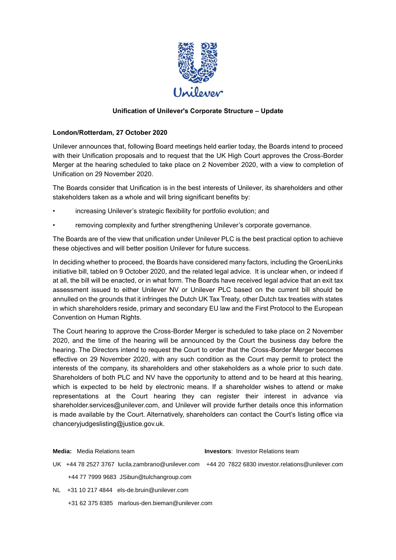

## **Unification of Unilever's Corporate Structure – Update**

## **London/Rotterdam, 27 October 2020**

Unilever announces that, following Board meetings held earlier today, the Boards intend to proceed with their Unification proposals and to request that the UK High Court approves the Cross-Border Merger at the hearing scheduled to take place on 2 November 2020, with a view to completion of Unification on 29 November 2020.

The Boards consider that Unification is in the best interests of Unilever, its shareholders and other stakeholders taken as a whole and will bring significant benefits by:

- increasing Unilever's strategic flexibility for portfolio evolution; and
- removing complexity and further strengthening Unilever's corporate governance.

The Boards are of the view that unification under Unilever PLC is the best practical option to achieve these objectives and will better position Unilever for future success.

In deciding whether to proceed, the Boards have considered many factors, including the GroenLinks initiative bill, tabled on 9 October 2020, and the related legal advice. It is unclear when, or indeed if at all, the bill will be enacted, or in what form. The Boards have received legal advice that an exit tax assessment issued to either Unilever NV or Unilever PLC based on the current bill should be annulled on the grounds that it infringes the Dutch UK Tax Treaty, other Dutch tax treaties with states in which shareholders reside, primary and secondary EU law and the First Protocol to the European Convention on Human Rights.

The Court hearing to approve the Cross-Border Merger is scheduled to take place on 2 November 2020, and the time of the hearing will be announced by the Court the business day before the hearing. The Directors intend to request the Court to order that the Cross-Border Merger becomes effective on 29 November 2020, with any such condition as the Court may permit to protect the interests of the company, its shareholders and other stakeholders as a whole prior to such date. Shareholders of both PLC and NV have the opportunity to attend and to be heard at this hearing, which is expected to be held by electronic means. If a shareholder wishes to attend or make representations at the Court hearing they can register their interest in advance via shareholder.services@unilever.com, and Unilever will provide further details once this information is made available by the Court. Alternatively, shareholders can contact the Court's listing office via chanceryjudgeslisting@justice.gov.uk.

**Media:** Media Relations team **Investors**: Investor Relations team UK +44 78 2527 3767 [lucila.zambrano@unilever.com](mailto:lucila.zambrano@unilever.com) +44 20 7822 6830 [investor.relations@unilever.com](mailto:investor.relations@unilever.com) +44 77 7999 9683 [JSibun@tulchangroup.com](mailto:JSibun@tulchangroup.com)

- NL +31 10 217 4844 [els-de.bruin@unilever.com](mailto:els-de.bruin@unilever.com)
	- +31 62 375 8385 [marlous-den.bieman@unilever.com](mailto:marlous-den.bieman@unilever.com)